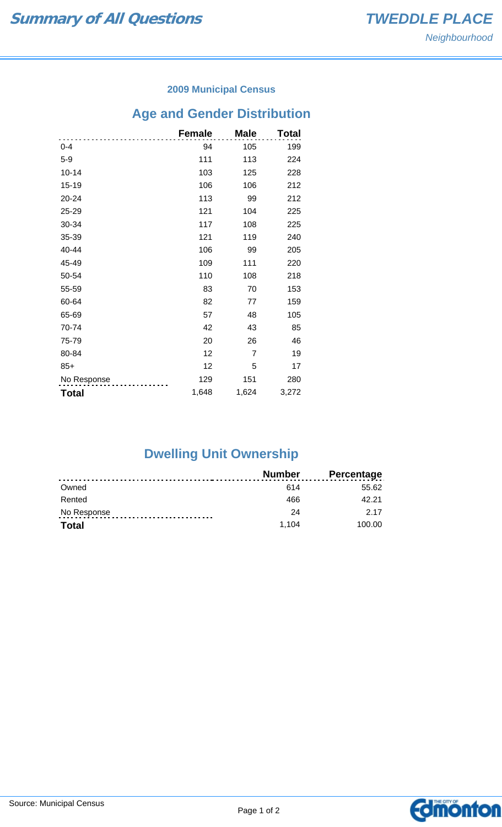### **2009 Municipal Census**

# **Age and Gender Distribution**

|              | <b>Female</b> | <b>Male</b> | Total |
|--------------|---------------|-------------|-------|
| $0 - 4$      | 94            | 105         | 199   |
| $5-9$        | 111           | 113         | 224   |
| $10 - 14$    | 103           | 125         | 228   |
| 15-19        | 106           | 106         | 212   |
| 20-24        | 113           | 99          | 212   |
| 25-29        | 121           | 104         | 225   |
| 30-34        | 117           | 108         | 225   |
| 35-39        | 121           | 119         | 240   |
| 40-44        | 106           | 99          | 205   |
| 45-49        | 109           | 111         | 220   |
| 50-54        | 110           | 108         | 218   |
| 55-59        | 83            | 70          | 153   |
| 60-64        | 82            | 77          | 159   |
| 65-69        | 57            | 48          | 105   |
| 70-74        | 42            | 43          | 85    |
| 75-79        | 20            | 26          | 46    |
| 80-84        | 12            | 7           | 19    |
| $85+$        | 12            | 5           | 17    |
| No Response  | 129           | 151         | 280   |
| <b>Total</b> | 1,648         | 1,624       | 3,272 |

# **Dwelling Unit Ownership**

|             | Number | <b>Percentage</b> |
|-------------|--------|-------------------|
| Owned       | 614    | 55.62             |
| Rented      | 466    | 42.21             |
| No Response | 24     | 2 1 7             |
| Total       | 1.104  | 100.00            |